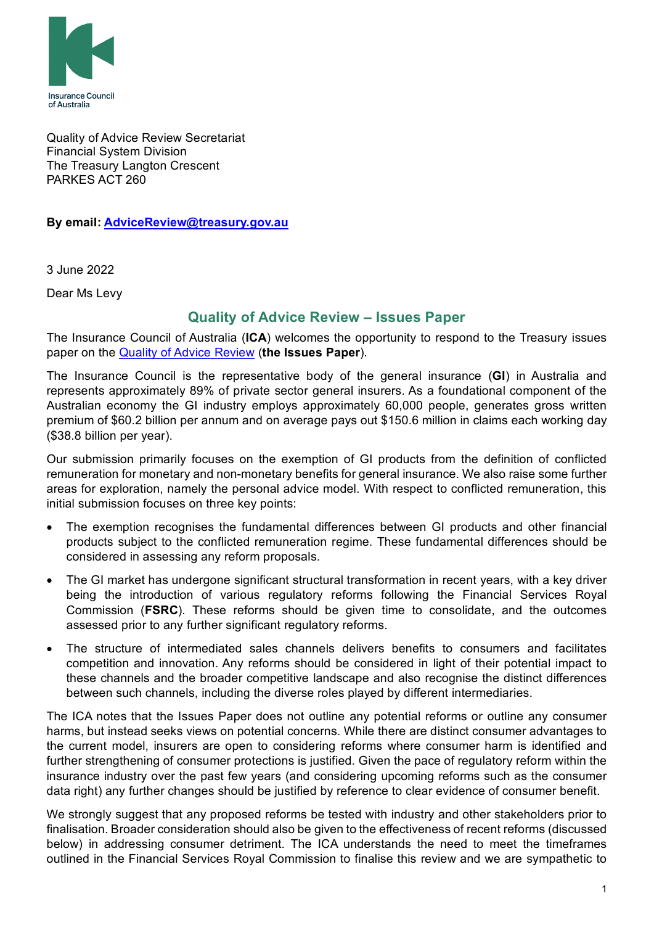

Quality of Advice Review Secretariat Financial System Division The Treasury Langton Crescent PARKES ACT 260

**By email: [AdviceReview@treasury.gov.au](mailto:AdviceReview@treasury.gov.au)**

3 June 2022

Dear Ms Levy

## **Quality of Advice Review – Issues Paper**

The Insurance Council of Australia (**ICA**) welcomes the opportunity to respond to the Treasury issues paper on the [Quality of Advice Review](https://treasury.gov.au/consultation/c2022-259464) (**the Issues Paper**).

The Insurance Council is the representative body of the general insurance (**GI**) in Australia and represents approximately 89% of private sector general insurers. As a foundational component of the Australian economy the GI industry employs approximately 60,000 people, generates gross written premium of \$60.2 billion per annum and on average pays out \$150.6 million in claims each working day (\$38.8 billion per year).

Our submission primarily focuses on the exemption of GI products from the definition of conflicted remuneration for monetary and non-monetary benefits for general insurance. We also raise some further areas for exploration, namely the personal advice model. With respect to conflicted remuneration, this initial submission focuses on three key points:

- The exemption recognises the fundamental differences between GI products and other financial products subject to the conflicted remuneration regime. These fundamental differences should be considered in assessing any reform proposals.
- The GI market has undergone significant structural transformation in recent years, with a key driver being the introduction of various regulatory reforms following the Financial Services Royal Commission (**FSRC**). These reforms should be given time to consolidate, and the outcomes assessed prior to any further significant regulatory reforms.
- The structure of intermediated sales channels delivers benefits to consumers and facilitates competition and innovation. Any reforms should be considered in light of their potential impact to these channels and the broader competitive landscape and also recognise the distinct differences between such channels, including the diverse roles played by different intermediaries.

The ICA notes that the Issues Paper does not outline any potential reforms or outline any consumer harms, but instead seeks views on potential concerns. While there are distinct consumer advantages to the current model, insurers are open to considering reforms where consumer harm is identified and further strengthening of consumer protections is justified. Given the pace of regulatory reform within the insurance industry over the past few years (and considering upcoming reforms such as the consumer data right) any further changes should be justified by reference to clear evidence of consumer benefit.

We strongly suggest that any proposed reforms be tested with industry and other stakeholders prior to finalisation. Broader consideration should also be given to the effectiveness of recent reforms (discussed below) in addressing consumer detriment. The ICA understands the need to meet the timeframes outlined in the Financial Services Royal Commission to finalise this review and we are sympathetic to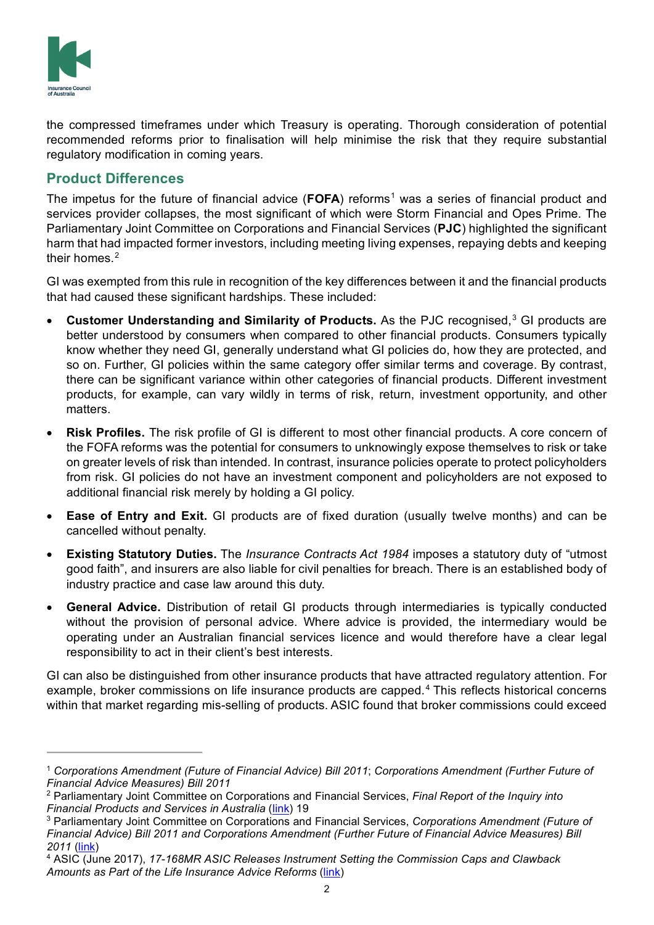

the compressed timeframes under which Treasury is operating. Thorough consideration of potential recommended reforms prior to finalisation will help minimise the risk that they require substantial regulatory modification in coming years.

## **Product Differences**

The impetus for the future of financial advice (**FOFA**) reforms<sup>[1](#page-1-0)</sup> was a series of financial product and services provider collapses, the most significant of which were Storm Financial and Opes Prime. The Parliamentary Joint Committee on Corporations and Financial Services (**PJC**) highlighted the significant harm that had impacted former investors, including meeting living expenses, repaying debts and keeping their homes. $2$ 

GI was exempted from this rule in recognition of the key differences between it and the financial products that had caused these significant hardships. These included:

- **Customer Understanding and Similarity of Products.** As the PJC recognised, [3](#page-1-2) GI products are better understood by consumers when compared to other financial products. Consumers typically know whether they need GI, generally understand what GI policies do, how they are protected, and so on. Further, GI policies within the same category offer similar terms and coverage. By contrast, there can be significant variance within other categories of financial products. Different investment products, for example, can vary wildly in terms of risk, return, investment opportunity, and other matters.
- **Risk Profiles.** The risk profile of GI is different to most other financial products. A core concern of the FOFA reforms was the potential for consumers to unknowingly expose themselves to risk or take on greater levels of risk than intended. In contrast, insurance policies operate to protect policyholders from risk. GI policies do not have an investment component and policyholders are not exposed to additional financial risk merely by holding a GI policy.
- **Ease of Entry and Exit.** GI products are of fixed duration (usually twelve months) and can be cancelled without penalty.
- **Existing Statutory Duties.** The *Insurance Contracts Act 1984* imposes a statutory duty of "utmost good faith", and insurers are also liable for civil penalties for breach. There is an established body of industry practice and case law around this duty.
- **General Advice.** Distribution of retail GI products through intermediaries is typically conducted without the provision of personal advice. Where advice is provided, the intermediary would be operating under an Australian financial services licence and would therefore have a clear legal responsibility to act in their client's best interests.

GI can also be distinguished from other insurance products that have attracted regulatory attention. For example, broker commissions on life insurance products are capped.<sup>[4](#page-1-3)</sup> This reflects historical concerns within that market regarding mis-selling of products. ASIC found that broker commissions could exceed

<span id="page-1-0"></span><sup>1</sup> *Corporations Amendment (Future of Financial Advice) Bill 2011*; *Corporations Amendment (Further Future of Financial Advice Measures) Bill 2011* 

<span id="page-1-1"></span><sup>2</sup> Parliamentary Joint Committee on Corporations and Financial Services, *Final Report of the Inquiry into Financial Products and Services in Australia* [\(link\)](https://www.aph.gov.au/Parliamentary_Business/Committees/Joint/Corporations_and_Financial_Services/Completed_inquiries/2008-10/fps/report/index) 19

<span id="page-1-2"></span><sup>3</sup> Parliamentary Joint Committee on Corporations and Financial Services, *Corporations Amendment (Future of Financial Advice) Bill 2011 and Corporations Amendment (Further Future of Financial Advice Measures) Bill 2011* [\(link\)](https://www.aph.gov.au/Parliamentary_Business/Committees/Joint/Corporations_and_Financial_Services/Completed_inquiries/2008-10/fps/report/index)

<span id="page-1-3"></span><sup>4</sup> ASIC (June 2017), *17-168MR ASIC Releases Instrument Setting the Commission Caps and Clawback Amounts as Part of the Life Insurance Advice Reforms* [\(link\)](https://asic.gov.au/about-asic/news-centre/find-a-media-release/2017-releases/17-168mr-asic-releases-instrument-setting-the-commission-caps-and-clawback-amounts-as-part-of-the-life-insurance-advice-reforms/)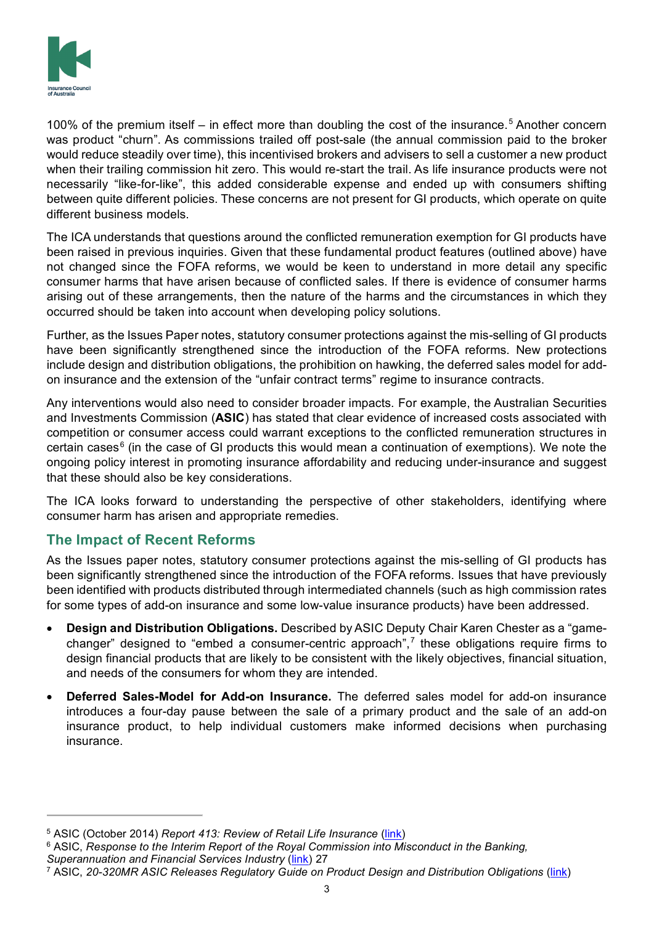

100% of the premium itself – in effect more than doubling the cost of the insurance.<sup>[5](#page-2-0)</sup> Another concern was product "churn". As commissions trailed off post-sale (the annual commission paid to the broker would reduce steadily over time), this incentivised brokers and advisers to sell a customer a new product when their trailing commission hit zero. This would re-start the trail. As life insurance products were not necessarily "like-for-like", this added considerable expense and ended up with consumers shifting between quite different policies. These concerns are not present for GI products, which operate on quite different business models.

The ICA understands that questions around the conflicted remuneration exemption for GI products have been raised in previous inquiries. Given that these fundamental product features (outlined above) have not changed since the FOFA reforms, we would be keen to understand in more detail any specific consumer harms that have arisen because of conflicted sales. If there is evidence of consumer harms arising out of these arrangements, then the nature of the harms and the circumstances in which they occurred should be taken into account when developing policy solutions.

Further, as the Issues Paper notes, statutory consumer protections against the mis-selling of GI products have been significantly strengthened since the introduction of the FOFA reforms. New protections include design and distribution obligations, the prohibition on hawking, the deferred sales model for addon insurance and the extension of the "unfair contract terms" regime to insurance contracts.

Any interventions would also need to consider broader impacts. For example, the Australian Securities and Investments Commission (**ASIC**) has stated that clear evidence of increased costs associated with competition or consumer access could warrant exceptions to the conflicted remuneration structures in certain cases $6$  (in the case of GI products this would mean a continuation of exemptions). We note the ongoing policy interest in promoting insurance affordability and reducing under-insurance and suggest that these should also be key considerations.

The ICA looks forward to understanding the perspective of other stakeholders, identifying where consumer harm has arisen and appropriate remedies.

## **The Impact of Recent Reforms**

As the Issues paper notes, statutory consumer protections against the mis-selling of GI products has been significantly strengthened since the introduction of the FOFA reforms. Issues that have previously been identified with products distributed through intermediated channels (such as high commission rates for some types of add-on insurance and some low-value insurance products) have been addressed.

- **Design and Distribution Obligations.** Described by ASIC Deputy Chair Karen Chester as a "gamechanger" designed to "embed a consumer-centric approach", [7](#page-2-2) these obligations require firms to design financial products that are likely to be consistent with the likely objectives, financial situation, and needs of the consumers for whom they are intended.
- **Deferred Sales-Model for Add-on Insurance.** The deferred sales model for add-on insurance introduces a four-day pause between the sale of a primary product and the sale of an add-on insurance product, to help individual customers make informed decisions when purchasing insurance.

<span id="page-2-0"></span><sup>5</sup> ASIC (October 2014) *Report 413: Review of Retail Life Insurance* [\(link\)](https://asic.gov.au/regulatory-resources/find-a-document/reports/rep-413-review-of-retail-life-insurance-advice/)

<span id="page-2-1"></span><sup>&</sup>lt;sup>6</sup> ASIC, *Response to the Interim Report of the Royal Commission into Misconduct in the Banking, Superannuation and Financial Services Industry* [\(link\)](https://webarchive.nla.gov.au/awa/20190808030323/https:/financialservices.royalcommission.gov.au/Submissions/Pages/interim-report-submissions.aspx) 27

<span id="page-2-2"></span><sup>7</sup> ASIC, *20-320MR ASIC Releases Regulatory Guide on Product Design and Distribution Obligations* [\(link\)](https://asic.gov.au/about-asic/news-centre/find-a-media-release/2020-releases/20-320mr-asic-releases-regulatory-guide-on-product-design-and-distribution-obligations/)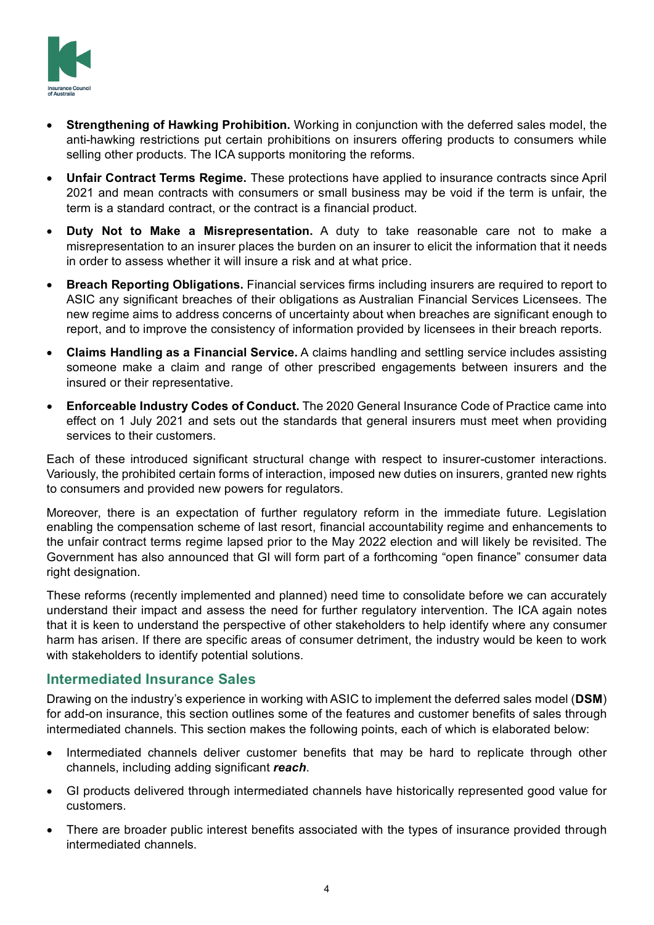

- **Strengthening of Hawking Prohibition.** Working in conjunction with the deferred sales model, the anti-hawking restrictions put certain prohibitions on insurers offering products to consumers while selling other products. The ICA supports monitoring the reforms.
- **Unfair Contract Terms Regime.** These protections have applied to insurance contracts since April 2021 and mean contracts with consumers or small business may be void if the term is unfair, the term is a standard contract, or the contract is a financial product.
- **Duty Not to Make a Misrepresentation.** A duty to take reasonable care not to make a misrepresentation to an insurer places the burden on an insurer to elicit the information that it needs in order to assess whether it will insure a risk and at what price.
- **Breach Reporting Obligations.** Financial services firms including insurers are required to report to ASIC any significant breaches of their obligations as Australian Financial Services Licensees. The new regime aims to address concerns of uncertainty about when breaches are significant enough to report, and to improve the consistency of information provided by licensees in their breach reports.
- **Claims Handling as a Financial Service.** A claims handling and settling service includes assisting someone make a claim and range of other prescribed engagements between insurers and the insured or their representative.
- **Enforceable Industry Codes of Conduct.** The 2020 General Insurance Code of Practice came into effect on 1 July 2021 and sets out the standards that general insurers must meet when providing services to their customers.

Each of these introduced significant structural change with respect to insurer-customer interactions. Variously, the prohibited certain forms of interaction, imposed new duties on insurers, granted new rights to consumers and provided new powers for regulators.

Moreover, there is an expectation of further regulatory reform in the immediate future. Legislation enabling the compensation scheme of last resort, financial accountability regime and enhancements to the unfair contract terms regime lapsed prior to the May 2022 election and will likely be revisited. The Government has also announced that GI will form part of a forthcoming "open finance" consumer data right designation.

These reforms (recently implemented and planned) need time to consolidate before we can accurately understand their impact and assess the need for further regulatory intervention. The ICA again notes that it is keen to understand the perspective of other stakeholders to help identify where any consumer harm has arisen. If there are specific areas of consumer detriment, the industry would be keen to work with stakeholders to identify potential solutions.

## **Intermediated Insurance Sales**

Drawing on the industry's experience in working with ASIC to implement the deferred sales model (**DSM**) for add-on insurance, this section outlines some of the features and customer benefits of sales through intermediated channels. This section makes the following points, each of which is elaborated below:

- Intermediated channels deliver customer benefits that may be hard to replicate through other channels, including adding significant *reach*.
- GI products delivered through intermediated channels have historically represented good value for customers.
- There are broader public interest benefits associated with the types of insurance provided through intermediated channels.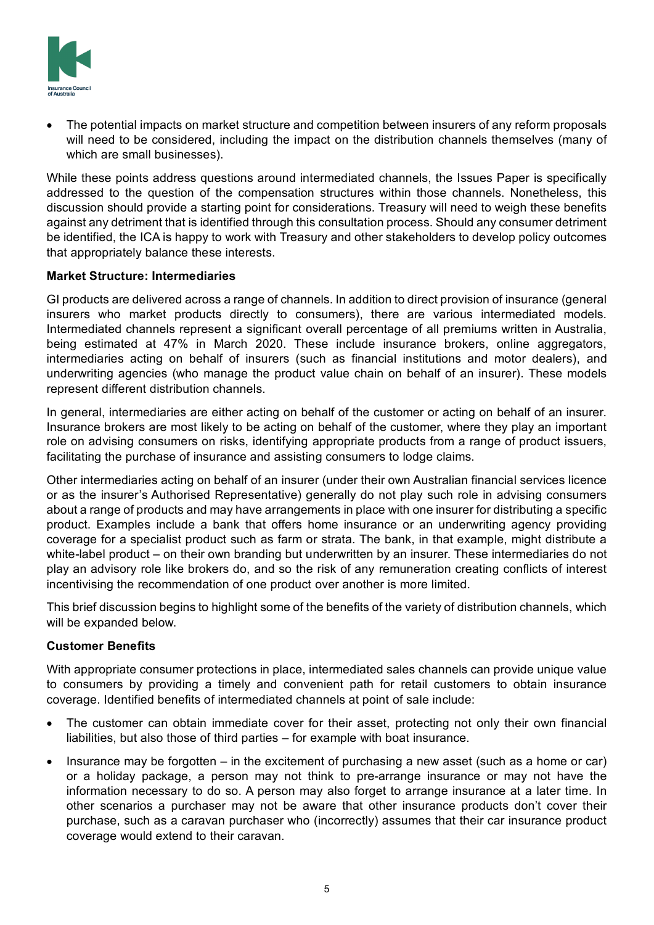

• The potential impacts on market structure and competition between insurers of any reform proposals will need to be considered, including the impact on the distribution channels themselves (many of which are small businesses).

While these points address questions around intermediated channels, the Issues Paper is specifically addressed to the question of the compensation structures within those channels. Nonetheless, this discussion should provide a starting point for considerations. Treasury will need to weigh these benefits against any detriment that is identified through this consultation process. Should any consumer detriment be identified, the ICA is happy to work with Treasury and other stakeholders to develop policy outcomes that appropriately balance these interests.

### **Market Structure: Intermediaries**

GI products are delivered across a range of channels. In addition to direct provision of insurance (general insurers who market products directly to consumers), there are various intermediated models. Intermediated channels represent a significant overall percentage of all premiums written in Australia, being estimated at 47% in March 2020. These include insurance brokers, online aggregators, intermediaries acting on behalf of insurers (such as financial institutions and motor dealers), and underwriting agencies (who manage the product value chain on behalf of an insurer). These models represent different distribution channels.

In general, intermediaries are either acting on behalf of the customer or acting on behalf of an insurer. Insurance brokers are most likely to be acting on behalf of the customer, where they play an important role on advising consumers on risks, identifying appropriate products from a range of product issuers, facilitating the purchase of insurance and assisting consumers to lodge claims.

Other intermediaries acting on behalf of an insurer (under their own Australian financial services licence or as the insurer's Authorised Representative) generally do not play such role in advising consumers about a range of products and may have arrangements in place with one insurer for distributing a specific product. Examples include a bank that offers home insurance or an underwriting agency providing coverage for a specialist product such as farm or strata. The bank, in that example, might distribute a white-label product – on their own branding but underwritten by an insurer. These intermediaries do not play an advisory role like brokers do, and so the risk of any remuneration creating conflicts of interest incentivising the recommendation of one product over another is more limited.

This brief discussion begins to highlight some of the benefits of the variety of distribution channels, which will be expanded below.

### **Customer Benefits**

With appropriate consumer protections in place, intermediated sales channels can provide unique value to consumers by providing a timely and convenient path for retail customers to obtain insurance coverage. Identified benefits of intermediated channels at point of sale include:

- The customer can obtain immediate cover for their asset, protecting not only their own financial liabilities, but also those of third parties – for example with boat insurance.
- Insurance may be forgotten in the excitement of purchasing a new asset (such as a home or car) or a holiday package, a person may not think to pre-arrange insurance or may not have the information necessary to do so. A person may also forget to arrange insurance at a later time. In other scenarios a purchaser may not be aware that other insurance products don't cover their purchase, such as a caravan purchaser who (incorrectly) assumes that their car insurance product coverage would extend to their caravan.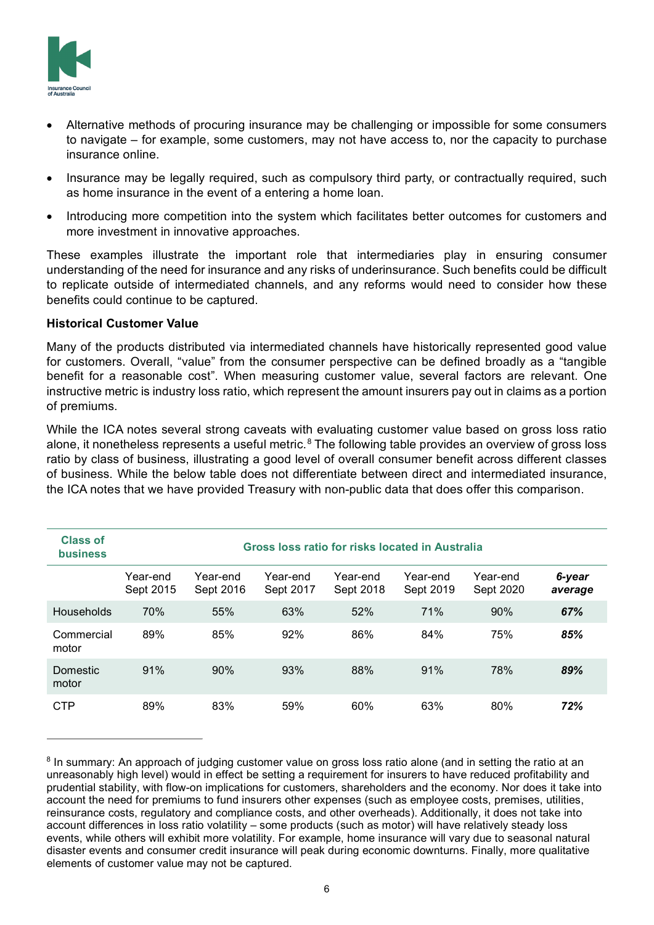

- Alternative methods of procuring insurance may be challenging or impossible for some consumers to navigate – for example, some customers, may not have access to, nor the capacity to purchase insurance online.
- Insurance may be legally required, such as compulsory third party, or contractually required, such as home insurance in the event of a entering a home loan.
- Introducing more competition into the system which facilitates better outcomes for customers and more investment in innovative approaches.

These examples illustrate the important role that intermediaries play in ensuring consumer understanding of the need for insurance and any risks of underinsurance. Such benefits could be difficult to replicate outside of intermediated channels, and any reforms would need to consider how these benefits could continue to be captured.

### **Historical Customer Value**

Many of the products distributed via intermediated channels have historically represented good value for customers. Overall, "value" from the consumer perspective can be defined broadly as a "tangible benefit for a reasonable cost". When measuring customer value, several factors are relevant. One instructive metric is industry loss ratio, which represent the amount insurers pay out in claims as a portion of premiums.

While the ICA notes several strong caveats with evaluating customer value based on gross loss ratio alone, it nonetheless represents a useful metric. $^8$  $^8$  The following table provides an overview of gross loss ratio by class of business, illustrating a good level of overall consumer benefit across different classes of business. While the below table does not differentiate between direct and intermediated insurance, the ICA notes that we have provided Treasury with non-public data that does offer this comparison.

| <b>Class of</b><br><b>business</b> | Gross loss ratio for risks located in Australia |                       |                       |                       |                       |                       |                   |
|------------------------------------|-------------------------------------------------|-----------------------|-----------------------|-----------------------|-----------------------|-----------------------|-------------------|
|                                    | Year-end<br>Sept 2015                           | Year-end<br>Sept 2016 | Year-end<br>Sept 2017 | Year-end<br>Sept 2018 | Year-end<br>Sept 2019 | Year-end<br>Sept 2020 | 6-year<br>average |
| Households                         | 70%                                             | 55%                   | 63%                   | 52%                   | 71%                   | 90%                   | 67%               |
| Commercial<br>motor                | 89%                                             | 85%                   | 92%                   | 86%                   | 84%                   | 75%                   | 85%               |
| Domestic<br>motor                  | 91%                                             | 90%                   | 93%                   | 88%                   | 91%                   | 78%                   | 89%               |
| <b>CTP</b>                         | 89%                                             | 83%                   | 59%                   | 60%                   | 63%                   | 80%                   | 72%               |

<span id="page-5-0"></span><sup>&</sup>lt;sup>8</sup> In summary: An approach of judging customer value on gross loss ratio alone (and in setting the ratio at an unreasonably high level) would in effect be setting a requirement for insurers to have reduced profitability and prudential stability, with flow-on implications for customers, shareholders and the economy. Nor does it take into account the need for premiums to fund insurers other expenses (such as employee costs, premises, utilities, reinsurance costs, regulatory and compliance costs, and other overheads). Additionally, it does not take into account differences in loss ratio volatility – some products (such as motor) will have relatively steady loss events, while others will exhibit more volatility. For example, home insurance will vary due to seasonal natural disaster events and consumer credit insurance will peak during economic downturns. Finally, more qualitative elements of customer value may not be captured.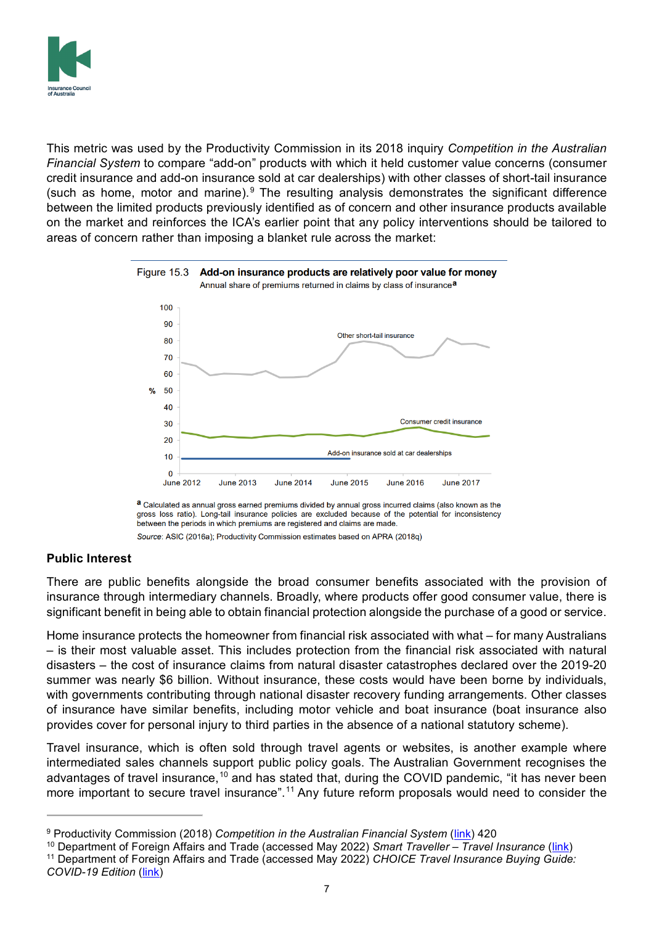

This metric was used by the Productivity Commission in its 2018 inquiry *Competition in the Australian Financial System* to compare "add-on" products with which it held customer value concerns (consumer credit insurance and add-on insurance sold at car dealerships) with other classes of short-tail insurance (such as home, motor and marine). $9$  The resulting analysis demonstrates the significant difference between the limited products previously identified as of concern and other insurance products available on the market and reinforces the ICA's earlier point that any policy interventions should be tailored to areas of concern rather than imposing a blanket rule across the market:



a Calculated as annual gross earned premiums divided by annual gross incurred claims (also known as the gross loss ratio). Long-tail insurance policies are excluded because of the potential for inconsistency between the periods in which premiums are registered and claims are made

#### Source: ASIC (2016a); Productivity Commission estimates based on APRA (2018q)

### **Public Interest**

There are public benefits alongside the broad consumer benefits associated with the provision of insurance through intermediary channels. Broadly, where products offer good consumer value, there is significant benefit in being able to obtain financial protection alongside the purchase of a good or service.

Home insurance protects the homeowner from financial risk associated with what – for many Australians – is their most valuable asset. This includes protection from the financial risk associated with natural disasters – the cost of insurance claims from natural disaster catastrophes declared over the 2019-20 summer was nearly \$6 billion. Without insurance, these costs would have been borne by individuals, with governments contributing through national disaster recovery funding arrangements. Other classes of insurance have similar benefits, including motor vehicle and boat insurance (boat insurance also provides cover for personal injury to third parties in the absence of a national statutory scheme).

Travel insurance, which is often sold through travel agents or websites, is another example where intermediated sales channels support public policy goals. The Australian Government recognises the advantages of travel insurance,<sup>[10](#page-6-1)</sup> and has stated that, during the COVID pandemic, "it has never been more important to secure travel insurance".<sup>[11](#page-6-2)</sup> Any future reform proposals would need to consider the

<span id="page-6-2"></span><sup>11</sup> Department of Foreign Affairs and Trade (accessed May 2022) *CHOICE Travel Insurance Buying Guide: COVID-19 Edition* [\(link\)](https://www.smartraveller.gov.au/CHOICE-travel-insurance-guide-COVID-19)

<span id="page-6-0"></span><sup>9</sup> Productivity Commission (2018) *Competition in the Australian Financial System* [\(link\)](https://www.pc.gov.au/inquiries/completed/financial-system/report/financial-system.pdf) 420

<span id="page-6-1"></span><sup>10</sup> Department of Foreign Affairs and Trade (accessed May 2022) *Smart Traveller – Travel Insurance* [\(link\)](https://www.smartraveller.gov.au/before-you-go/the-basics/insurance)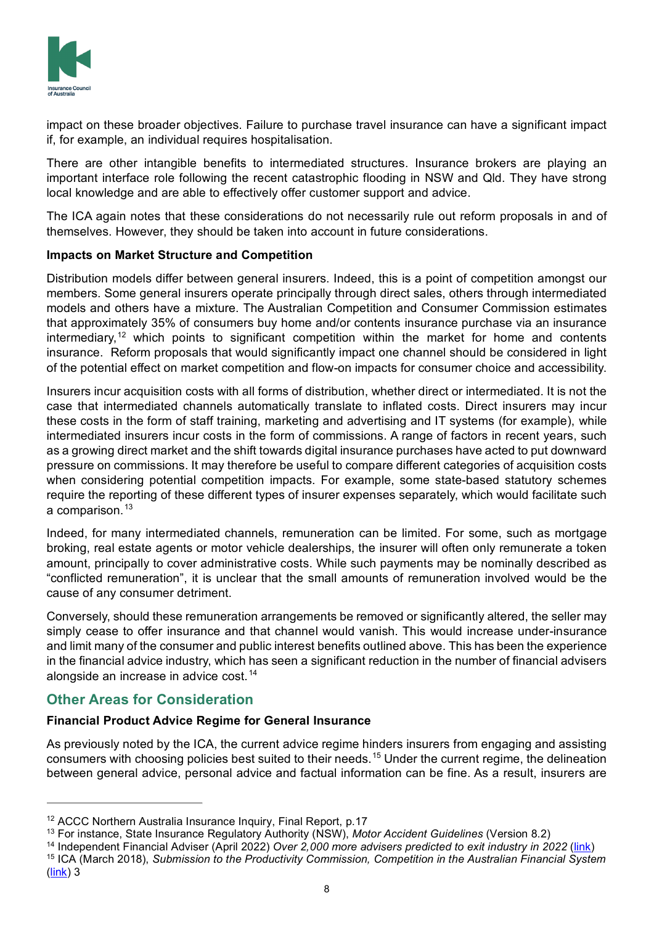

impact on these broader objectives. Failure to purchase travel insurance can have a significant impact if, for example, an individual requires hospitalisation.

There are other intangible benefits to intermediated structures. Insurance brokers are playing an important interface role following the recent catastrophic flooding in NSW and Qld. They have strong local knowledge and are able to effectively offer customer support and advice.

The ICA again notes that these considerations do not necessarily rule out reform proposals in and of themselves. However, they should be taken into account in future considerations.

### **Impacts on Market Structure and Competition**

Distribution models differ between general insurers. Indeed, this is a point of competition amongst our members. Some general insurers operate principally through direct sales, others through intermediated models and others have a mixture. The Australian Competition and Consumer Commission estimates that approximately 35% of consumers buy home and/or contents insurance purchase via an insurance intermediary,<sup>[12](#page-7-0)</sup> which points to significant competition within the market for home and contents insurance. Reform proposals that would significantly impact one channel should be considered in light of the potential effect on market competition and flow-on impacts for consumer choice and accessibility.

Insurers incur acquisition costs with all forms of distribution, whether direct or intermediated. It is not the case that intermediated channels automatically translate to inflated costs. Direct insurers may incur these costs in the form of staff training, marketing and advertising and IT systems (for example), while intermediated insurers incur costs in the form of commissions. A range of factors in recent years, such as a growing direct market and the shift towards digital insurance purchases have acted to put downward pressure on commissions. It may therefore be useful to compare different categories of acquisition costs when considering potential competition impacts. For example, some state-based statutory schemes require the reporting of these different types of insurer expenses separately, which would facilitate such a comparison.<sup>[13](#page-7-1)</sup>

Indeed, for many intermediated channels, remuneration can be limited. For some, such as mortgage broking, real estate agents or motor vehicle dealerships, the insurer will often only remunerate a token amount, principally to cover administrative costs. While such payments may be nominally described as "conflicted remuneration", it is unclear that the small amounts of remuneration involved would be the cause of any consumer detriment.

Conversely, should these remuneration arrangements be removed or significantly altered, the seller may simply cease to offer insurance and that channel would vanish. This would increase under-insurance and limit many of the consumer and public interest benefits outlined above. This has been the experience in the financial advice industry, which has seen a significant reduction in the number of financial advisers alongside an increase in advice cost. [14](#page-7-2)

# **Other Areas for Consideration**

## **Financial Product Advice Regime for General Insurance**

As previously noted by the ICA, the current advice regime hinders insurers from engaging and assisting consumers with choosing policies best suited to their needs.[15](#page-7-3) Under the current regime, the delineation between general advice, personal advice and factual information can be fine. As a result, insurers are

<span id="page-7-1"></span><sup>13</sup> For instance, State Insurance Regulatory Authority (NSW), *Motor Accident Guidelines* (Version 8.2)

<span id="page-7-0"></span><sup>12</sup> ACCC Northern Australia Insurance Inquiry, Final Report, p.17

<span id="page-7-2"></span><sup>&</sup>lt;sup>14</sup> Independent Financial Adviser (April 2022) Over 2,000 more advisers predicted to exit industry in 2022 [\(link\)](https://www.ifa.com.au/news/31082-over-2-000-more-advisers-predicted-to-exit-industry-in-2022)

<span id="page-7-3"></span><sup>15</sup> ICA (March 2018), *Submission to the Productivity Commission, Competition in the Australian Financial System* [\(link\)](https://www.pc.gov.au/__data/assets/pdf_file/0014/226022/subdr062-financial-system.pdf) 3